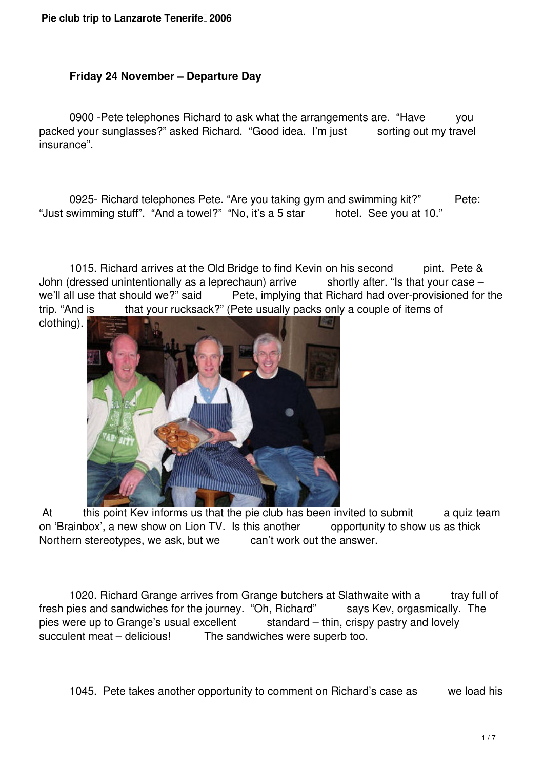## **Friday 24 November – Departure Day**

 0900 -Pete telephones Richard to ask what the arrangements are. "Have you packed your sunglasses?" asked Richard. "Good idea. I'm just sorting out my travel insurance".

0925- Richard telephones Pete. "Are you taking gym and swimming kit?" Pete:<br>swimming stuff". "And a towel?" "No, it's a 5 star hotel. See you at 10." "Just swimming stuff". "And a towel?" "No, it's a 5 star

1015. Richard arrives at the Old Bridge to find Kevin on his second pint. Pete & John (dressed unintentionally as a leprechaun) arrive shortly after. "Is that your case – we'll all use that should we?" said Pete, implying that Richard had over-provisioned for Pete, implying that Richard had over-provisioned for the trip. "And is that your rucksack?" (Pete usually packs only a couple of items of

clothing).



At this point Kev informs us that the pie club has been invited to submit a quiz team on 'Brainbox', a new show on Lion TV. Is this another opportunity to show us as thick Northern stereotypes, we ask, but we can't work out the answer.

1020. Richard Grange arrives from Grange butchers at Slathwaite with a tray full of fresh pies and sandwiches for the journey. "Oh, Richard" says Kev, orgasmically. The pies were up to Grange's usual excellent standard – thin, crispy pastry and lovely succulent meat – delicious! The sandwiches were superb too.

1045. Pete takes another opportunity to comment on Richard's case as we load his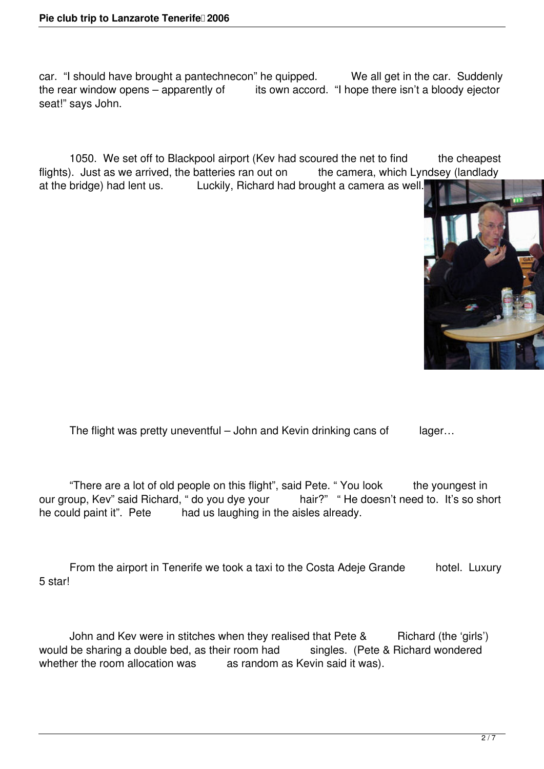car. "I should have brought a pantechnecon" he quipped. We all get in the car. Suddenly the rear window opens  $-$  apparently of its own accord. "I hope there isn't a bloody ejector seat!" says John.

1050. We set off to Blackpool airport (Kev had scoured the net to find the cheapest flights). Just as we arrived, the batteries ran out on the camera, which Lyndsey (landlady at the bridge) had lent us. Luckily, Richard had brought a camera as well.



The flight was pretty uneventful – John and Kevin drinking cans of lager...

 "There are a lot of old people on this flight", said Pete. " You look the youngest in our group, Kev" said Richard, " do you dye your hair?" " He doesn't need to. It's so short he could paint it". Pete had us laughing in the aisles already.

From the airport in Tenerife we took a taxi to the Costa Adeje Grande hotel. Luxury 5 star!

John and Kev were in stitches when they realised that Pete & Richard (the 'girls') would be sharing a double bed, as their room had singles. (Pete & Richard wondered whether the room allocation was as random as Kevin said it was).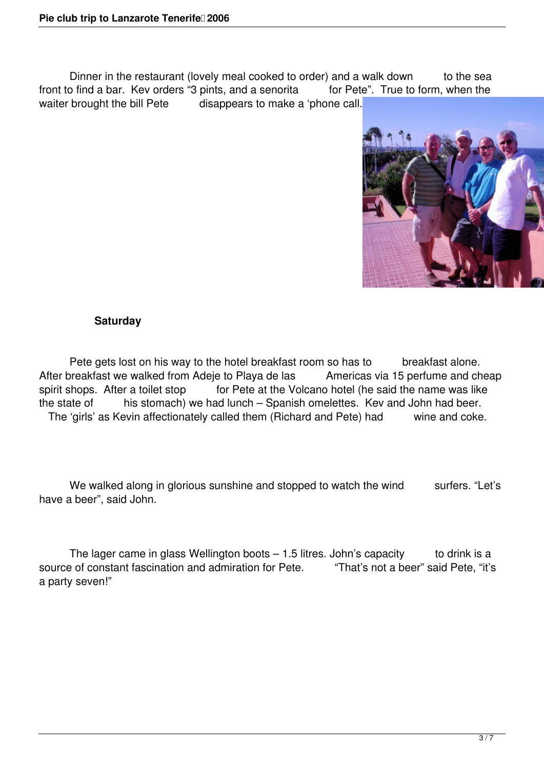Dinner in the restaurant (lovely meal cooked to order) and a walk down to the sea front to find a bar. Kev orders "3 pints, and a senorita for Pete". True to form, when the waiter brought the bill Pete disappears to make a 'phone call.



## **Saturday**

Pete gets lost on his way to the hotel breakfast room so has to breakfast alone.<br>
Dreakfast we walked from Adeie to Playa de las Americas via 15 perfume and cheap After breakfast we walked from Adeje to Playa de las<br>spirit shops. After a toilet stop for Pete at the Vo for Pete at the Volcano hotel (he said the name was like the state of his stomach) we had lunch – Spanish omelettes. Kev and John had beer. The 'girls' as Kevin affectionately called them (Richard and Pete) had wine and coke.

We walked along in glorious sunshine and stopped to watch the wind surfers. "Let's have a beer", said John.

The lager came in glass Wellington boots  $-1.5$  litres. John's capacity to drink is a source of constant fascination and admiration for Pete. "That's not a beer" said Pete, "it's a party seven!"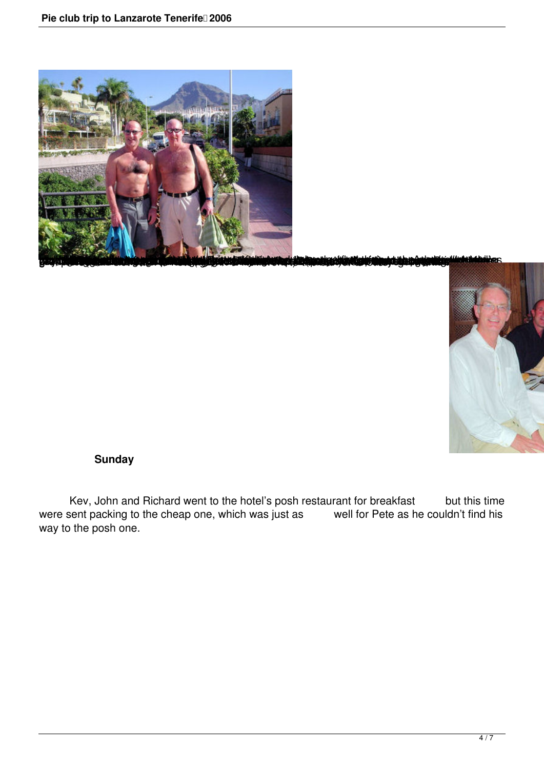



## **Sunday**

Kev, John and Richard went to the hotel's posh restaurant for breakfast but this time were sent packing to the cheap one, which was just as well for Pete as he couldn't find his way to the posh one.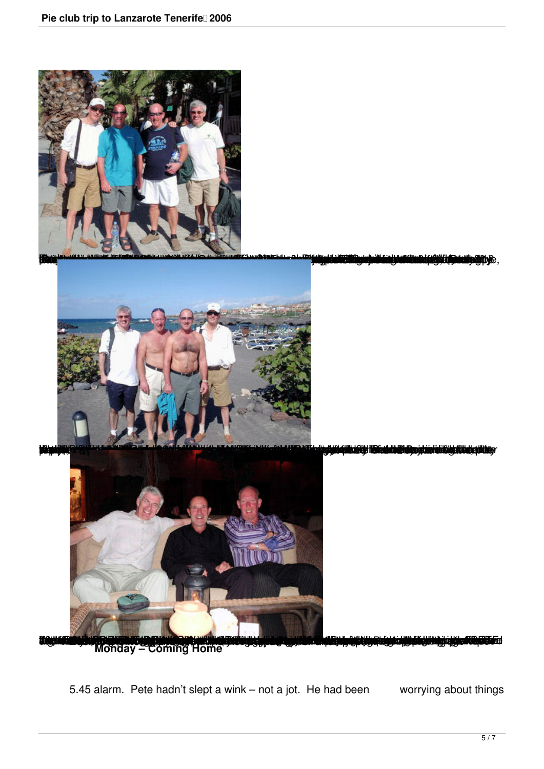



<u>jäätyy se satustatakselle koskuussa kuuluisesta maailmasta. Yysi piiristi liskaalilisiyyinnäisyyttäytyitäy</u>

Monday - Coming Home

5.45 alarm. Pete hadn't slept a wink – not a jot. He had been worrying about things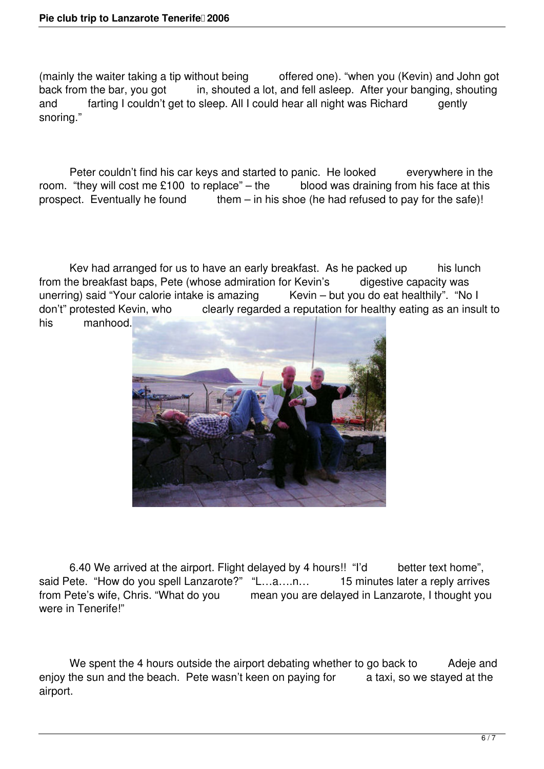(mainly the waiter taking a tip without being offered one). "when you (Kevin) and John got back from the bar, you got in, shouted a lot, and fell asleep. After your banging, shouting and farting I couldn't get to sleep. All I could hear all night was Richard gently snoring."

Peter couldn't find his car keys and started to panic. He looked everywhere in the room. "they will cost me  $£100$  to replace" – the blood was draining from his face at this prospect. Eventually he found them – in his shoe (he had refused to pay for the safe)!

Kev had arranged for us to have an early breakfast. As he packed up his lunch from the breakfast baps, Pete (whose admiration for Kevin's digestive capacity was unerring) said "Your calorie intake is amazing Kevin – but you do eat healthily". "No I don't" protested Kevin, who clearly regarded a reputation for healthy eating as an insult to his manhood.



6.40 We arrived at the airport. Flight delayed by 4 hours!! "I'd better text home", said Pete. "How do you spell Lanzarote?" "L...a....n... 15 minutes later a reply arrives<br>from Pete's wife, Chris. "What do you mean you are delayed in Lanzarote, I thought you mean you are delayed in Lanzarote, I thought you were in Tenerife!"

We spent the 4 hours outside the airport debating whether to go back to Adeje and enjoy the sun and the beach. Pete wasn't keen on paying for a taxi, so we stayed at the airport.